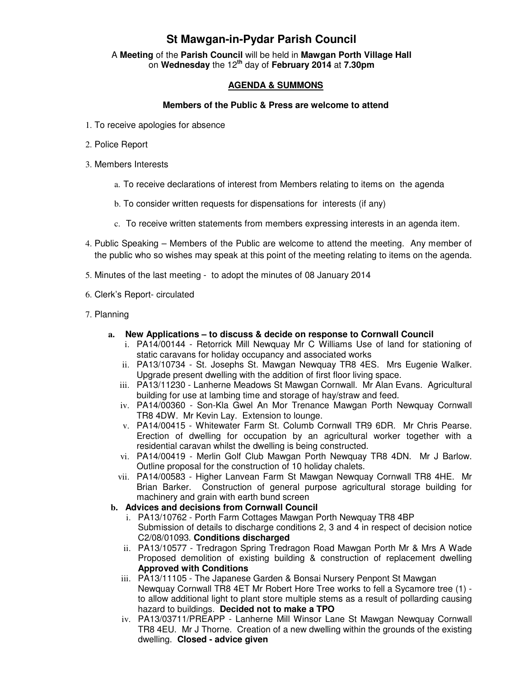## **St Mawgan-in-Pydar Parish Council**

A **Meeting** of the **Parish Council** will be held in **Mawgan Porth Village Hall** on **Wednesday** the 12**th** day of **February 2014** at **7.30pm** 

## **AGENDA & SUMMONS**

## **Members of the Public & Press are welcome to attend**

- 1. To receive apologies for absence
- 2. Police Report
- 3. Members Interests
	- a. To receive declarations of interest from Members relating to items on the agenda
	- b. To consider written requests for dispensations for interests (if any)
	- c. To receive written statements from members expressing interests in an agenda item.
- 4. Public Speaking Members of the Public are welcome to attend the meeting. Any member of the public who so wishes may speak at this point of the meeting relating to items on the agenda.
- 5. Minutes of the last meeting to adopt the minutes of 08 January 2014
- 6. Clerk's Report- circulated
- 7. Planning
	- **a. New Applications to discuss & decide on response to Cornwall Council** 
		- i. PA14/00144 Retorrick Mill Newquay Mr C Williams Use of land for stationing of static caravans for holiday occupancy and associated works
		- ii. PA13/10734 St. Josephs St. Mawgan Newquay TR8 4ES. Mrs Eugenie Walker. Upgrade present dwelling with the addition of first floor living space.
		- iii. PA13/11230 Lanherne Meadows St Mawgan Cornwall. Mr Alan Evans. Agricultural building for use at lambing time and storage of hay/straw and feed.
		- iv. PA14/00360 Son-Kla Gwel An Mor Trenance Mawgan Porth Newquay Cornwall TR8 4DW. Mr Kevin Lay. Extension to lounge.
		- v. PA14/00415 Whitewater Farm St. Columb Cornwall TR9 6DR. Mr Chris Pearse. Erection of dwelling for occupation by an agricultural worker together with a residential caravan whilst the dwelling is being constructed.
		- vi. PA14/00419 Merlin Golf Club Mawgan Porth Newquay TR8 4DN. Mr J Barlow. Outline proposal for the construction of 10 holiday chalets.
		- vii. PA14/00583 Higher Lanvean Farm St Mawgan Newquay Cornwall TR8 4HE. Mr Brian Barker. Construction of general purpose agricultural storage building for machinery and grain with earth bund screen
	- **b. Advices and decisions from Cornwall Council** 
		- i. PA13/10762 Porth Farm Cottages Mawgan Porth Newquay TR8 4BP Submission of details to discharge conditions 2, 3 and 4 in respect of decision notice C2/08/01093. **Conditions discharged**
		- ii. PA13/10577 Tredragon Spring Tredragon Road Mawgan Porth Mr & Mrs A Wade Proposed demolition of existing building & construction of replacement dwelling **Approved with Conditions**
		- iii. PA13/11105 The Japanese Garden & Bonsai Nursery Penpont St Mawgan Newquay Cornwall TR8 4ET Mr Robert Hore Tree works to fell a Sycamore tree (1) to allow additional light to plant store multiple stems as a result of pollarding causing hazard to buildings. **Decided not to make a TPO**
		- iv. PA13/03711/PREAPP Lanherne Mill Winsor Lane St Mawgan Newquay Cornwall TR8 4EU. Mr J Thorne. Creation of a new dwelling within the grounds of the existing dwelling. **Closed - advice given**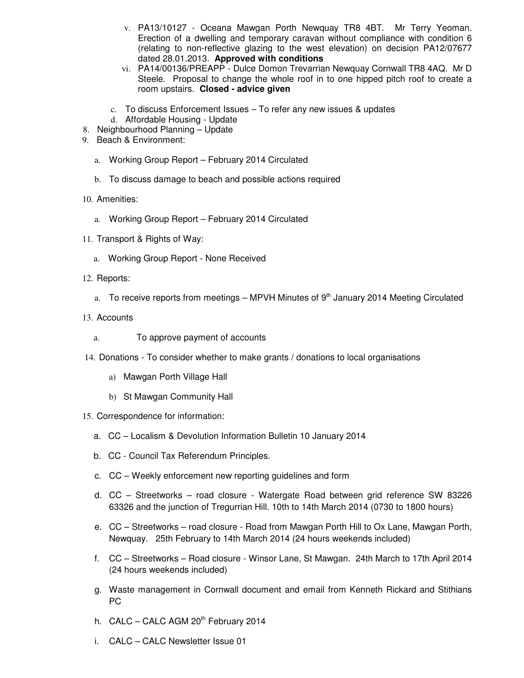- v. PA13/10127 Oceana Mawgan Porth Newquay TR8 4BT. Mr Terry Yeoman. Erection of a dwelling and temporary caravan without compliance with condition 6 (relating to non-reflective glazing to the west elevation) on decision PA12/07677 dated 28.01.2013. **Approved with conditions**
- vi. PA14/00136/PREAPP Dulce Domon Trevarrian Newquay Cornwall TR8 4AQ. Mr D Steele. Proposal to change the whole roof in to one hipped pitch roof to create a room upstairs. **Closed - advice given**
- c. To discuss Enforcement Issues To refer any new issues & updates
- d. Affordable Housing Update
- 8. Neighbourhood Planning Update
- 9. Beach & Environment:
	- a. Working Group Report February 2014 Circulated
	- b. To discuss damage to beach and possible actions required
- 10. Amenities:
	- a. Working Group Report February 2014 Circulated
- 11. Transport & Rights of Way:
	- a. Working Group Report None Received
- 12. Reports:
	- a. To receive reports from meetings MPVH Minutes of  $9<sup>th</sup>$  January 2014 Meeting Circulated
- 13. Accounts
	- a. To approve payment of accounts
- 14. Donations To consider whether to make grants / donations to local organisations
	- a) Mawgan Porth Village Hall
	- b) St Mawgan Community Hall
- 15. Correspondence for information:
	- a. CC Localism & Devolution Information Bulletin 10 January 2014
	- b. CC Council Tax Referendum Principles.
	- c. CC Weekly enforcement new reporting guidelines and form
	- d. CC Streetworks road closure Watergate Road between grid reference SW 83226 63326 and the junction of Tregurrian Hill. 10th to 14th March 2014 (0730 to 1800 hours)
	- e. CC Streetworks road closure Road from Mawgan Porth Hill to Ox Lane, Mawgan Porth, Newquay. 25th February to 14th March 2014 (24 hours weekends included)
	- f. CC Streetworks Road closure Winsor Lane, St Mawgan. 24th March to 17th April 2014 (24 hours weekends included)
	- g. Waste management in Cornwall document and email from Kenneth Rickard and Stithians PC
	- h. CALC CALC AGM  $20<sup>th</sup>$  February 2014
	- i. CALC CALC Newsletter Issue 01